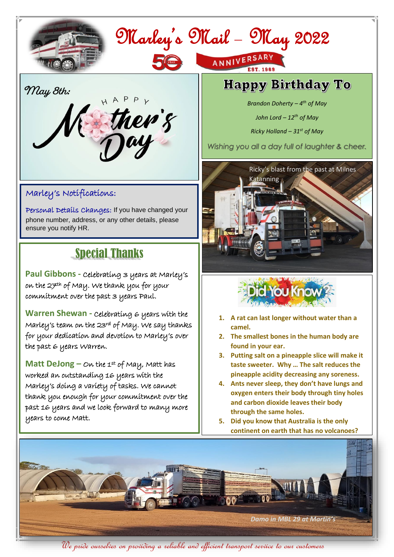

# Marley's Mail – May 2022

ANNIVERSARY

**May 8th:**



#### Marley's Notifications:

 Personal Details Changes: If you have changed your phone number, address, or any other details, please ensure you notify HR.

### Special Thanks

**Paul Gibbons -** Celebrating 3 years at Marley's on the 27th of May. We thank you for your commitment over the past 3 years Paul.

**Warren Shewan** - Celebrating 6 years with the Marley's team on the 23rd of May. We say thanks for your dedication and devotion to Marley's over the past 6 years Warren.

 worked an outstanding 16 years with the **Matt DeJong** – On the 1st of May, Matt has Marley's doing a variety of tasks. We cannot thank you enough for your commitment over the past 16 years and we look forward to many more years to come Matt.

## **Happy Birthday To**

*Brandon Doherty – 4 th of May*

*John Lord – 12th of May*

*Ricky Holland – 31st of May*

*Wishing you all a day full of laughter & cheer.*





- **1. A rat can last longer without water than a camel.**
- **2. The smallest bones in the human body are found in your ear.**
- **3. Putting salt on a pineapple slice will make it taste sweeter. Why … The salt reduces the pineapple acidity decreasing any soreness.**
- **4. Ants never sleep, they don't have lungs and oxygen enters their body through tiny holes and carbon dioxide leaves their body through the same holes.**
- **5. Did you know that Australia is the only continent on earth that has no volcanoes?**



We pride ourselves on providing a reliable and efficient transport service to our customers